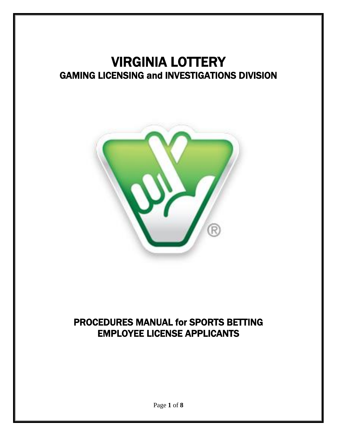# VIRGINIA LOTTERY GAMING LICENSING and INVESTIGATIONS DIVISION



# PROCEDURES MANUAL for SPORTS BETTING EMPLOYEE LICENSE APPLICANTS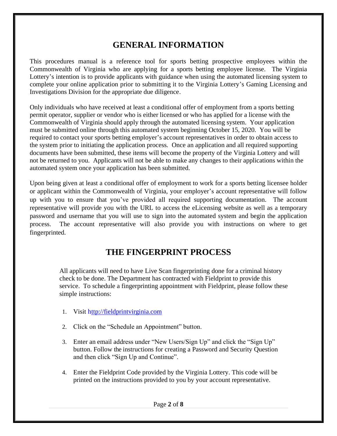# **GENERAL INFORMATION**

This procedures manual is a reference tool for sports betting prospective employees within the Commonwealth of Virginia who are applying for a sports betting employee license. The Virginia Lottery's intention is to provide applicants with guidance when using the automated licensing system to complete your online application prior to submitting it to the Virginia Lottery's Gaming Licensing and Investigations Division for the appropriate due diligence.

Only individuals who have received at least a conditional offer of employment from a sports betting permit operator, supplier or vendor who is either licensed or who has applied for a license with the Commonwealth of Virginia should apply through the automated licensing system. Your application must be submitted online through this automated system beginning October 15, 2020. You will be required to contact your sports betting employer's account representatives in order to obtain access to the system prior to initiating the application process. Once an application and all required supporting documents have been submitted, these items will become the property of the Virginia Lottery and will not be returned to you. Applicants will not be able to make any changes to their applications within the automated system once your application has been submitted.

Upon being given at least a conditional offer of employment to work for a sports betting licensee holder or applicant within the Commonwealth of Virginia, your employer's account representative will follow up with you to ensure that you've provided all required supporting documentation. The account representative will provide you with the URL to access the eLicensing website as well as a temporary password and username that you will use to sign into the automated system and begin the application process. The account representative will also provide you with instructions on where to get fingerprinted.

# **THE FINGERPRINT PROCESS**

All applicants will need to have Live Scan fingerprinting done for a criminal history check to be done. The Department has contracted with Fieldprint to provide this service. To schedule a fingerprinting appointment with Fieldprint, please follow these simple instructions:

- 1. Visit [http://fieldprintvirginia.com](http://fieldprintvirginia.com/)
- 2. Click on the "Schedule an Appointment" button.
- 3. Enter an email address under "New Users/Sign Up" and click the "Sign Up" button. Follow the instructions for creating a Password and Security Question and then click "Sign Up and Continue".
- 4. Enter the Fieldprint Code provided by the Virginia Lottery. This code will be printed on the instructions provided to you by your account representative.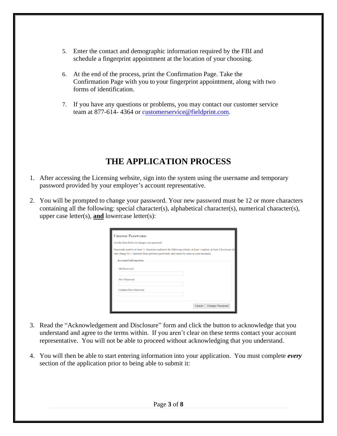- 5. Enter the contact and demographic information required by the FBI and schedule a fingerprint appointment at the location of your choosing.
- 6. At the end of the process, print the Confirmation Page. Take the Confirmation Page with you to your fingerprint appointment, along with two forms of identification.
- 7. If you have any questions or problems, you may contact our customer service team at 877-614- 4364 or [customerservice@fieldprint.com.](mailto:customerservice@fieldprint.com)

# **THE APPLICATION PROCESS**

- 1. After accessing the Licensing website, sign into the system using the username and temporary password provided by your employer's account representative.
- 2. You will be prompted to change your password. Your new password must be 12 or more characters containing all the following: special character(s), alphabetical character(s), numerical character(s), upper case letter(s), **and** lowercase letter(s):

| <b>CHANGE PASSWORD</b>                                                                   |                                                                                                                       |
|------------------------------------------------------------------------------------------|-----------------------------------------------------------------------------------------------------------------------|
| Use the form below to change your password.                                              |                                                                                                                       |
| only change by 1 character from previous passwords; and cannot be same as your username. | Passwords must be at least 12 characters and meet the following criteria: at least 1 number, at least 1 lowercase let |
| <b>Account Information</b>                                                               |                                                                                                                       |
| Old Password:                                                                            |                                                                                                                       |
| New Password:                                                                            |                                                                                                                       |
| Confirm New Password:                                                                    |                                                                                                                       |
|                                                                                          |                                                                                                                       |
|                                                                                          | <b>Change Password</b><br>Cancel                                                                                      |

- 3. Read the "Acknowledgement and Disclosure" form and click the button to acknowledge that you understand and agree to the terms within. If you aren't clear on these terms contact your account representative. You will not be able to proceed without acknowledging that you understand.
- 4. You will then be able to start entering information into your application. You must complete *every* section of the application prior to being able to submit it: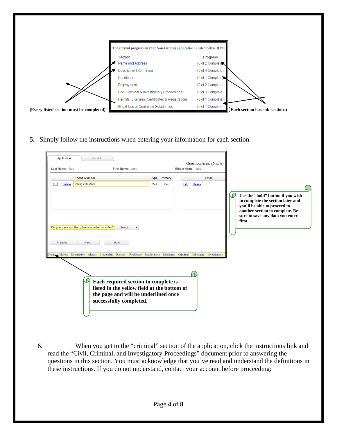|                                          | The current progress on your Non-Gaming application is listed below. If you |                                                      |
|------------------------------------------|-----------------------------------------------------------------------------|------------------------------------------------------|
|                                          | <b>Section</b>                                                              | <b>Progress</b>                                      |
|                                          | <b>Name and Address</b>                                                     | (0 of 2 Complete)                                    |
| 4 <b>x</b>                               | <b>Descriptive Information</b>                                              | (0 of 4 Complete)                                    |
|                                          | Residence                                                                   | (0 of 1 Complete) $\blacktriangleright$              |
|                                          | Employment                                                                  | (0 of 2 Complete)                                    |
|                                          | Civil, Criminal & Investigatory Proceedings                                 | (0 of 3 Complete)                                    |
|                                          | Permits, Licenses, Certificates & Registrations                             | (0 of 1 Complete)                                    |
| (Every listed section must be completed) | Illegal Use of Controlled Substances                                        | (0 of 1 Complete)<br>(Each section has sub-sections) |

5. Simply follow the instructions when entering your information for each section:

| Application<br>On Hold<br>Last Name: Doe<br>First Name: Jane                                                                                                                                                                            |                                       | Question Area: (Name)<br>Middle Name: sally |                                                                                                              |
|-----------------------------------------------------------------------------------------------------------------------------------------------------------------------------------------------------------------------------------------|---------------------------------------|---------------------------------------------|--------------------------------------------------------------------------------------------------------------|
| <b>Phone Number</b><br>(999) 999-9999<br><b>Delete</b><br>Edit                                                                                                                                                                          | Primary<br>Type<br>Cell<br><b>Yes</b> | Email<br><b>Delete</b><br>Edit              | Use the "hold" button if you wish<br>to complete the section later and                                       |
| Do you have another phone number to enter?<br>$-$ Select $-$<br><b>Hold</b><br><b>Next</b><br><b>Previous</b><br>Name Address Descriptive Aliases Citizenship Passport Residence Employment Discharge Criminal Indictment Investigation |                                       |                                             | you'll be able to proceed to<br>another section to complete. Be<br>sure to save any data you enter<br>first. |
| Each required section to complete is<br>listed in the yellow field at the bottom of<br>the page and will be underlined once<br>successfully completed.                                                                                  |                                       |                                             |                                                                                                              |

6. When you get to the "criminal" section of the application, click the instructions link and read the "Civil, Criminal, and Investigatory Proceedings" document prior to answering the questions in this section. You must acknowledge that you've read and understand the definitions in these instructions. If you do not understand, contact your account before proceeding: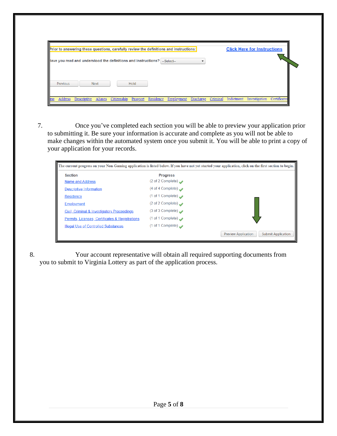|                 |                                                                           |      | Prior to answering these questions, carefully review the definitions and instructions: |  | <b>Click Here for Instructions</b> |  |
|-----------------|---------------------------------------------------------------------------|------|----------------------------------------------------------------------------------------|--|------------------------------------|--|
|                 | lave you read and understood the definitions and instructions? --Select-- |      |                                                                                        |  |                                    |  |
|                 |                                                                           |      |                                                                                        |  |                                    |  |
|                 |                                                                           |      |                                                                                        |  |                                    |  |
|                 |                                                                           |      |                                                                                        |  |                                    |  |
| <b>Previous</b> | <b>Next</b>                                                               | Hold |                                                                                        |  |                                    |  |

7. Once you've completed each section you will be able to preview your application prior to submitting it. Be sure your information is accurate and complete as you will not be able to make changes within the automated system once you submit it. You will be able to print a copy of your application for your records.

| <b>Section</b>                                  | <b>Progress</b>                 |                                                         |
|-------------------------------------------------|---------------------------------|---------------------------------------------------------|
| Name and Address                                | (2 of 2 Complete) $\rightarrow$ |                                                         |
| Descriptive Information                         | (4 of 4 Complete)               |                                                         |
| Residence                                       | (1 of 1 Complete) $\rightarrow$ |                                                         |
| Employment                                      | (2 of 2 Complete) $\rightarrow$ |                                                         |
| Civil, Criminal & Investigatory Proceedings     | (3 of 3 Complete) $\rightarrow$ |                                                         |
| Permits, Licenses, Certificates & Registrations | (1 of 1 Complete) $\rightarrow$ |                                                         |
| <b>Illegal Use of Controlled Substances</b>     | (1 of 1 Complete) $\rightarrow$ |                                                         |
|                                                 |                                 | <b>Preview Application</b><br><b>Submit Application</b> |

8. Your account representative will obtain all required supporting documents from you to submit to Virginia Lottery as part of the application process.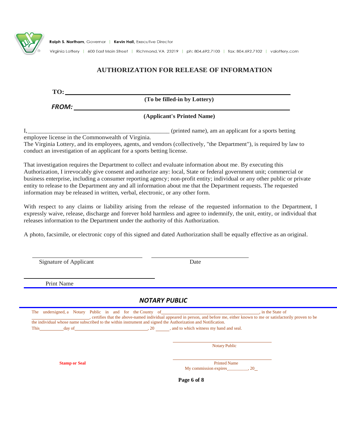

Ralph S. Northam, Governor | Kevin Hall, Executive Director

Virginia Lottery | 600 East Main Street | Richmond, VA 23219 | ph: 804.692.7100 | fax: 804.692.7102 | valottery.com

### **AUTHORIZATION FOR RELEASE OF INFORMATION**

**TO:**

**(To be filled-in by Lottery)**

*FROM:*

#### **(Applicant's Printed Name)**

I,\_\_\_\_\_\_\_\_\_\_\_\_\_\_\_\_\_\_\_\_\_\_\_\_\_\_\_\_\_\_\_\_\_\_\_\_\_\_\_\_\_\_\_\_\_\_ (printed name), am an applicant for a sports betting employee license in the Commonwealth of Virginia. The Virginia Lottery, and its employees, agents, and vendors (collectively, "the Department"), is required by law to

conduct an investigation of an applicant for a sports betting license.

That investigation requires the Department to collect and evaluate information about me. By executing this Authorization, I irrevocably give consent and authorize any: local, State or federal government unit; commercial or business enterprise, including a consumer reporting agency; non-profit entity; individual or any other public or private entity to release to the Department any and all information about me that the Department requests. The requested information may be released in written, verbal, electronic, or any other form.

With respect to any claims or liability arising from the release of the requested information to the Department, I expressly waive, release, discharge and forever hold harmless and agree to indemnify, the unit, entity, or individual that releases information to the Department under the authority of this Authorization.

A photo, facsimile, or electronic copy of this signed and dated Authorization shall be equally effective as an original.

| Signature of Applicant                                                                                                                                                                                                                                               | Date                                                                                                                             |
|----------------------------------------------------------------------------------------------------------------------------------------------------------------------------------------------------------------------------------------------------------------------|----------------------------------------------------------------------------------------------------------------------------------|
| <b>Print Name</b>                                                                                                                                                                                                                                                    |                                                                                                                                  |
|                                                                                                                                                                                                                                                                      | <b>NOTARY PUBLIC</b>                                                                                                             |
| The undersigned, a Notary Public in and for the County of intervention and the State of<br>the individual whose name subscribed to the within instrument and signed the Authorization and Notification.<br>This day of day of and to which witness my hand and seal. | , certifies that the above-named individual appeared in person, and before me, either known to me or satisfactorily proven to be |
|                                                                                                                                                                                                                                                                      | <b>Notary Public</b>                                                                                                             |
|                                                                                                                                                                                                                                                                      |                                                                                                                                  |
| <b>Stamp or Seal</b>                                                                                                                                                                                                                                                 | <b>Printed Name</b>                                                                                                              |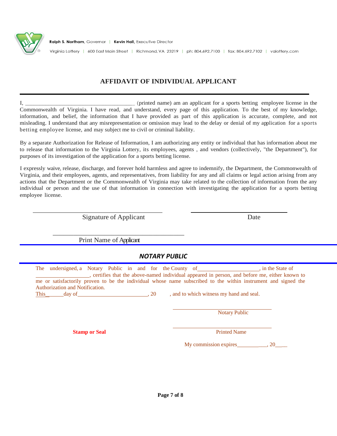

### **AFFIDAVIT OF INDIVIDUAL APPLICANT**

I, \_\_\_\_\_\_\_\_\_\_\_\_\_\_\_\_\_\_\_\_\_\_\_\_\_\_\_\_\_\_\_\_\_\_\_\_\_\_ (printed name) am an applicant for a sports betting employee license in the Commonwealth of Virginia. I have read, and understand, every page of this application. To the best of my knowledge, information, and belief, the information that I have provided as part of this application is accurate, complete, and not misleading. I understand that any misrepresentation or omission may lead to the delay or denial of my application for a sports betting employee license, and may subject me to civil or criminal liability.

By a separate Authorization for Release of Information, I am authorizing any entity or individual that has information about me to release that information to the Virginia Lottery, its employees, agents , and vendors (collectively, "the Department"), for purposes of its investigation of the application for a sports betting license.

I expressly waive, release, discharge, and forever hold harmless and agree to indemnify, the Department, the Commonwealth of Virginia, and their employees, agents, and representatives, from liability for any and all claims or legal action arising from any actions that the Department or the Commonwealth of Virginia may take related to the collection of information from the any individual or person and the use of that information in connection with investigating the application for a sports betting employee license.

Signature of Applicant Date

Print Name of Applicant

\_\_\_\_\_\_\_\_\_\_\_\_\_\_\_\_\_\_\_\_\_\_\_\_\_\_\_\_\_\_\_\_\_\_\_\_\_\_

### *NOTARY PUBLIC*

The undersigned, a Notary Public in and for the County of , in the State of , certifies that the above-named individual appeared in person, and before me, either known to me or satisfactorily proven to be the individual whose name subscribed to the within instrument and signed the Authorization and Notification. This day of  $\frac{1}{20}$ , 20 , and to which witness my hand and seal.

**Notary Public** 

**Stamp or Seal Printed Name Printed Name Printed Name Printed Name Printed Name Printed Name Printed Name Printed Name Printed Name Printed Name Printed Name Printed Name Printed Name Printed Name Printed Name Printed Name** 

My commission expires  $\qquad \qquad , 20$